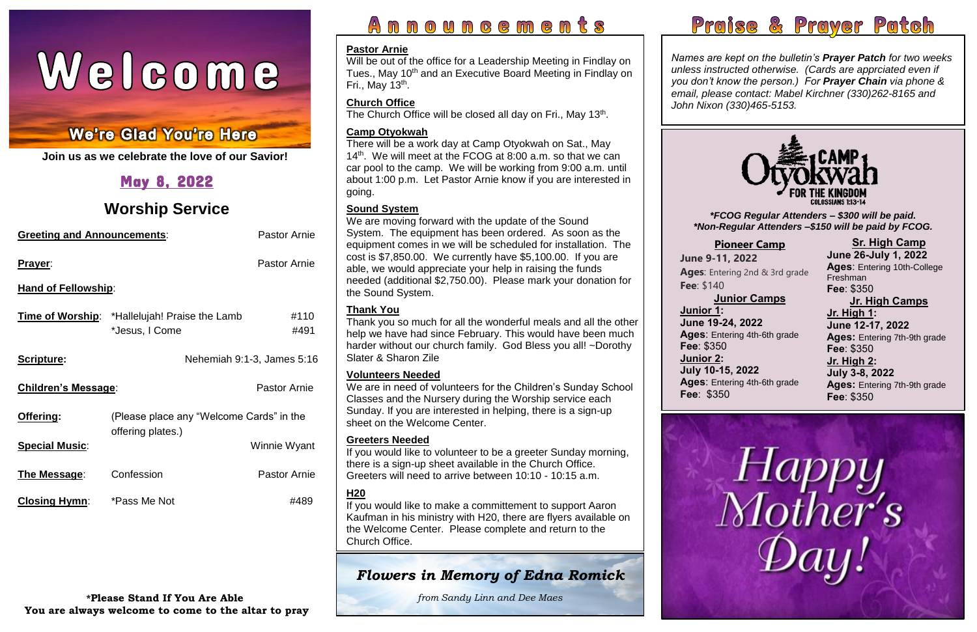# Welcome

#### í Ĺ í

**Join us as we celebrate the love of our Savior!**

## May 8, 2022

## **Worship Service**

| <b>Greeting and Announcements:</b> |                                                                        | <b>Pastor Arnie</b>        |  |  |
|------------------------------------|------------------------------------------------------------------------|----------------------------|--|--|
| <b>Prayer:</b>                     |                                                                        | <b>Pastor Arnie</b>        |  |  |
| <b>Hand of Fellowship:</b>         |                                                                        |                            |  |  |
|                                    | <b>Time of Worship:</b> *Hallelujah! Praise the Lamb<br>*Jesus, I Come | #110<br>#491               |  |  |
| Scripture:                         |                                                                        | Nehemiah 9:1-3, James 5:16 |  |  |
| <b>Children's Message:</b>         |                                                                        | <b>Pastor Arnie</b>        |  |  |
| Offering:                          | (Please place any "Welcome Cards" in the<br>offering plates.)          |                            |  |  |
| <b>Special Music:</b>              |                                                                        | Winnie Wyant               |  |  |
| The Message:                       | Confession                                                             | <b>Pastor Arnie</b>        |  |  |
| <b>Closing Hymn:</b>               | *Pass Me Not                                                           | #489                       |  |  |

Will be out of the office for a Leadership Meeting in Findlay on Tues., May 10<sup>th</sup> and an Executive Board Meeting in Findlay on Fri., May 13<sup>th</sup>.

#### **\*Please Stand If You Are Able You are always welcome to come to the altar to pray**

## <u>Announcements</u>





*Names are kept on the bulletin's Prayer Patch for two weeks unless instructed otherwise. (Cards are apprciated even if you don't know the person.) For Prayer Chain via phone & email, please contact: Mabel Kirchner (330)262-8165 and John Nixon (330)465-5153.*

#### **Pastor Arnie**

#### **Church Office**

The Church Office will be closed all day on Fri., May 13<sup>th</sup>.

#### **Camp Otyokwah**

There will be a work day at Camp Otyokwah on Sat., May 14<sup>th</sup>. We will meet at the FCOG at 8:00 a.m. so that we can car pool to the camp. We will be working from 9:00 a.m. until about 1:00 p.m. Let Pastor Arnie know if you are interested in going.

#### **Sound System**

 If you would like to volunteer to be a greeter Sunday morning, there is a sign-up sheet available in the Church Office. Greeters will need to arrive between 10:10 - 10:15 a.m.

We are moving forward with the update of the Sound System. The equipment has been ordered. As soon as the equipment comes in we will be scheduled for installation. The cost is \$7,850.00. We currently have \$5,100.00. If you are able, we would appreciate your help in raising the funds needed (additional \$2,750.00). Please mark your donation for the Sound System.

 *\*FCOG Regular Attenders – \$300 will be paid. \*Non-Regular Attenders –\$150 will be paid by FCOG.*

#### **Thank You**

Thank you so much for all the wonderful meals and all the other help we have had since February. This would have been much harder without our church family. God Bless you all! ~Dorothy Slater & Sharon Zile

#### **Volunteers Needed**

We are in need of volunteers for the Children's Sunday School Classes and the Nursery during the Worship service each Sunday. If you are interested in helping, there is a sign-up sheet on the Welcome Center.

#### **Greeters Needed**

### **H20**

If you would like to make a committement to support Aaron Kaufman in his ministry with H20, there are flyers available on the Welcome Center. Please complete and return to the Church Office.

## *Flowers in Memory of Edna Romick*

*from Sandy Linn and Dee Maes*



#### **[Pioneer Camp](https://www.otyokwah.org/)**

**June 9-11, 2022 Ages**: Entering 2nd & 3rd grade **Fee**: \$140

#### **Junior Camps**

#### **June 19-24, 2022**

**Ages**: Entering 4th-6th grade

**Junior 1: Fee**: \$350 **Junior 2: Fee**: \$350

#### **July 10-15, 2022**

**Ages**: Entering 4th-6th grade

**Sr. High Camp June 26-July 1, 2022 Ages**: Entering 10th-College Freshman **Fee**: \$350

**Jr. High Camps Jr. High 1: June 12-17, 2022 Ages:** Entering 7th-9th grade **Fee**: \$350 **Jr. High 2: July 3-8, 2022 Ages:** Entering 7th-9th grade **Fee**: \$350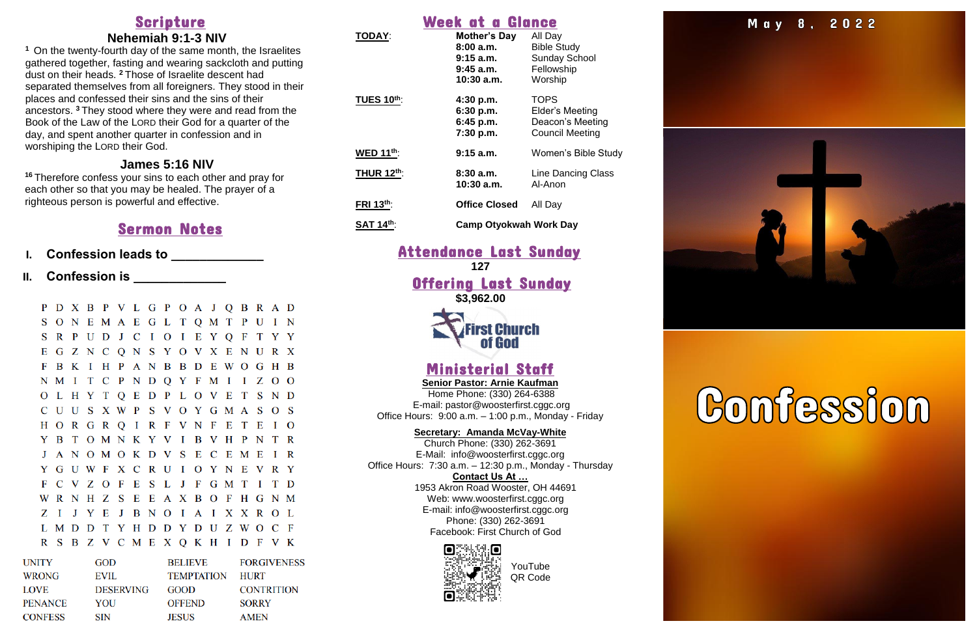## Scripture

#### **Nehemiah 9:1-3 NIV**

**<sup>1</sup>** On the twenty-fourth day of the same month, the Israelites gathered together, fasting and wearing sackcloth and putting dust on their heads. **<sup>2</sup>** Those of Israelite descent had separated themselves from all foreigners. They stood in their places and confessed their sins and the sins of their ancestors. **<sup>3</sup>** They stood where they were and read from the Book of the Law of the LORD their God for a quarter of the day, and spent another quarter in confession and in worshiping the LORD their God.

- **I. Confession leads to \_\_\_\_\_\_\_\_\_\_\_\_\_**
- **II.** Confession is **Limitary Constants**

P D X B P V L G P O A J O B R A D SONEMAE GL TOMTPUIN S R P U D J C I O I E Y Q F T Y Y E G Z N C Q N S Y O V X E N U R X F B K I H P A N B B D E W O G H B N M I T C P N D Q Y F M I I Z O O O L H Y T O E D P L O V E T S N D C U U S X W P S V O Y G M A S O S HORGRQIRFVNFETEIO Y B T O M N K Y V I B V H P N T R J A N O M O K D V S E C E M E I R Y G U W F X C R U I O Y N E V R Y F C V Z O F E S L J F G M T I T D WRNHZSEEAXBOFHGNM Z I J Y E J B N O I A I X X R O L L M D D T Y H D D Y D U Z W O C F R S B Z V C M E X Q K H I D F V K

### **James 5:16 NIV**

**<sup>16</sup>** Therefore confess your sins to each other and pray for each other so that you may be healed. The prayer of a righteous person is powerful and effective.

#### **Offering Last Sunday \$3,962.00**

## **irst Church** J

## Sermon Notes

| GOD              | <b>BELIEVE</b>    | <b>FORGIVENESS</b> |
|------------------|-------------------|--------------------|
| <b>EVIL</b>      | <b>TEMPTATION</b> | <b>HURT</b>        |
| <b>DESERVING</b> | <b>GOOD</b>       | <b>CONTRITION</b>  |
| YOU              | <b>OFFEND</b>     | <b>SORRY</b>       |
| <b>SIN</b>       | <b>JESUS</b>      | <b>AMEN</b>        |
|                  |                   |                    |

## Week at a Glance

| <b>TODAY:</b>     | Mother's Day<br>8:00a.m.<br>$9:15$ a.m.<br>$9:45$ a.m.<br>$10:30$ a.m. | All Day<br><b>Bible Study</b><br><b>Sunday School</b><br>Fellowship<br>Worship |
|-------------------|------------------------------------------------------------------------|--------------------------------------------------------------------------------|
| <b>TUES 10th:</b> | 4:30 p.m.<br>6:30 p.m.<br>$6:45$ p.m.<br>7:30 p.m.                     | <b>TOPS</b><br>Elder's Meeting<br>Deacon's Meeting<br><b>Council Meeting</b>   |
| WED $11^{th}$ :   | $9:15$ a.m.                                                            | Women's Bible Study                                                            |
| <b>THUR 12th:</b> | 8:30a.m.<br>10:30 a.m.                                                 | Line Dancing Class<br>Al-Anon                                                  |
| FRI 13th:         | <b>Office Closed</b>                                                   | All Day                                                                        |
| <b>SAT 14th:</b>  | <b>Camp Otyokwah Work Day</b>                                          |                                                                                |

## Attendance Last Sunday

**127**

## Ministerial Staff

**Senior Pastor: Arnie Kaufman** Home Phone: (330) 264-6388 E-mail: [pastor@woosterfirst.cggc.org](mailto:pastor@woosterfirst.cggc.org) Office Hours: 9:00 a.m. – 1:00 p.m., Monday - Friday

#### **Secretary: Amanda McVay-White**

Church Phone: (330) 262-3691 E-Mail: info@woosterfirst.cggc.org Office Hours: 7:30 a.m. – 12:30 p.m., Monday - Thursday **Contact Us At …** 1953 Akron Road Wooster, OH 44691 Web: [www.woosterfirst.cggc.org](http://www.woosterfirst.cggc.org/) E-mail: info@woosterfirst.cggc.org Phone: (330) 262-3691 Facebook: First Church of God





## J  $\overline{\phantom{a}}$

YouTube QR Code